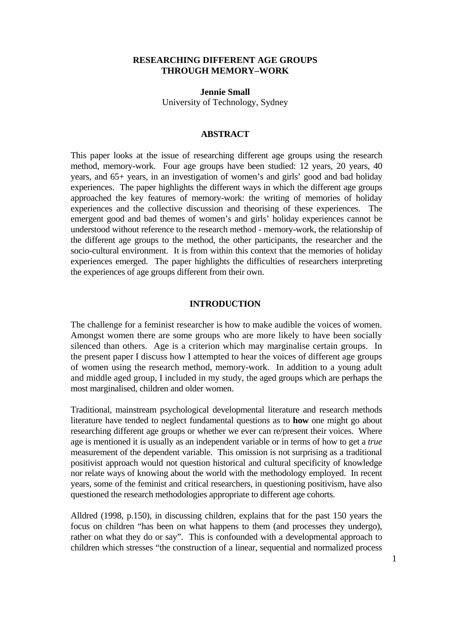# **RESEARCHING DIFFERENT AGE GROUPS THROUGH MEMORY–WORK**

**Jennie Small**  University of Technology, Sydney

## **ABSTRACT**

This paper looks at the issue of researching different age groups using the research method, memory-work. Four age groups have been studied: 12 years, 20 years, 40 years, and 65+ years, in an investigation of women's and girls' good and bad holiday experiences. The paper highlights the different ways in which the different age groups approached the key features of memory-work: the writing of memories of holiday experiences and the collective discussion and theorising of these experiences. The emergent good and bad themes of women's and girls' holiday experiences cannot be understood without reference to the research method - memory-work, the relationship of the different age groups to the method, the other participants, the researcher and the socio-cultural environment. It is from within this context that the memories of holiday experiences emerged. The paper highlights the difficulties of researchers interpreting the experiences of age groups different from their own.

## **INTRODUCTION**

The challenge for a feminist researcher is how to make audible the voices of women. Amongst women there are some groups who are more likely to have been socially silenced than others. Age is a criterion which may marginalise certain groups. In the present paper I discuss how I attempted to hear the voices of different age groups of women using the research method, memory-work. In addition to a young adult and middle aged group, I included in my study, the aged groups which are perhaps the most marginalised, children and older women.

Traditional, mainstream psychological developmental literature and research methods literature have tended to neglect fundamental questions as to **how** one might go about researching different age groups or whether we ever can re/present their voices. Where age is mentioned it is usually as an independent variable or in terms of how to get a *true* measurement of the dependent variable. This omission is not surprising as a traditional positivist approach would not question historical and cultural specificity of knowledge nor relate ways of knowing about the world with the methodology employed. In recent years, some of the feminist and critical researchers, in questioning positivism, have also questioned the research methodologies appropriate to different age cohorts.

Alldred (1998, p.150), in discussing children, explains that for the past 150 years the focus on children "has been on what happens to them (and processes they undergo), rather on what they do or say". This is confounded with a developmental approach to children which stresses "the construction of a linear, sequential and normalized process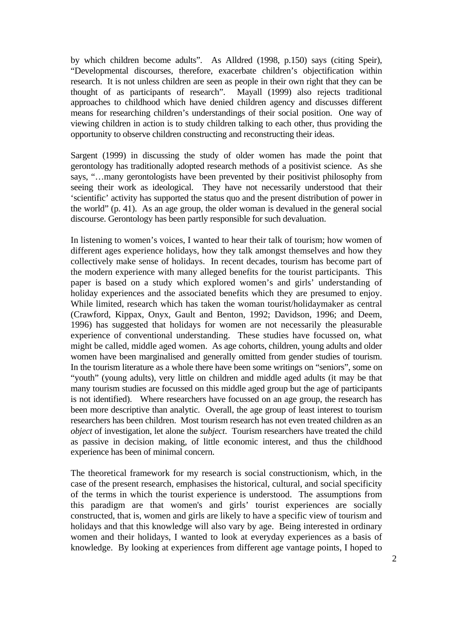by which children become adults". As Alldred (1998, p.150) says (citing Speir), "Developmental discourses, therefore, exacerbate children's objectification within research. It is not unless children are seen as people in their own right that they can be thought of as participants of research". Mayall (1999) also rejects traditional approaches to childhood which have denied children agency and discusses different means for researching children's understandings of their social position. One way of viewing children in action is to study children talking to each other, thus providing the opportunity to observe children constructing and reconstructing their ideas.

Sargent (1999) in discussing the study of older women has made the point that gerontology has traditionally adopted research methods of a positivist science. As she says, "…many gerontologists have been prevented by their positivist philosophy from seeing their work as ideological. They have not necessarily understood that their 'scientific' activity has supported the status quo and the present distribution of power in the world" (p. 41). As an age group, the older woman is devalued in the general social discourse. Gerontology has been partly responsible for such devaluation.

In listening to women's voices, I wanted to hear their talk of tourism; how women of different ages experience holidays, how they talk amongst themselves and how they collectively make sense of holidays. In recent decades, tourism has become part of the modern experience with many alleged benefits for the tourist participants. This paper is based on a study which explored women's and girls' understanding of holiday experiences and the associated benefits which they are presumed to enjoy. While limited, research which has taken the woman tourist/holidaymaker as central (Crawford, Kippax, Onyx, Gault and Benton, 1992; Davidson, 1996; and Deem, 1996) has suggested that holidays for women are not necessarily the pleasurable experience of conventional understanding. These studies have focussed on, what might be called, middle aged women. As age cohorts, children, young adults and older women have been marginalised and generally omitted from gender studies of tourism. In the tourism literature as a whole there have been some writings on "seniors", some on "youth" (young adults), very little on children and middle aged adults (it may be that many tourism studies are focussed on this middle aged group but the age of participants is not identified). Where researchers have focussed on an age group, the research has been more descriptive than analytic. Overall, the age group of least interest to tourism researchers has been children. Most tourism research has not even treated children as an *object* of investigation, let alone the *subject*. Tourism researchers have treated the child as passive in decision making, of little economic interest, and thus the childhood experience has been of minimal concern.

The theoretical framework for my research is social constructionism, which, in the case of the present research, emphasises the historical, cultural, and social specificity of the terms in which the tourist experience is understood. The assumptions from this paradigm are that women's and girls' tourist experiences are socially constructed, that is, women and girls are likely to have a specific view of tourism and holidays and that this knowledge will also vary by age. Being interested in ordinary women and their holidays, I wanted to look at everyday experiences as a basis of knowledge. By looking at experiences from different age vantage points, I hoped to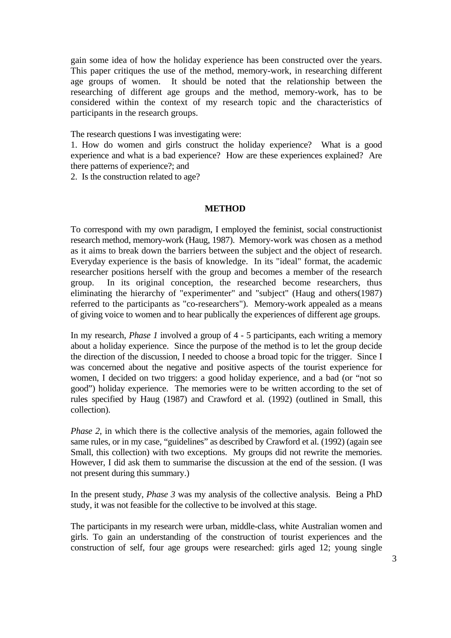gain some idea of how the holiday experience has been constructed over the years. This paper critiques the use of the method, memory-work, in researching different age groups of women. It should be noted that the relationship between the researching of different age groups and the method, memory-work, has to be considered within the context of my research topic and the characteristics of participants in the research groups.

The research questions I was investigating were:

1. How do women and girls construct the holiday experience? What is a good experience and what is a bad experience? How are these experiences explained? Are there patterns of experience?; and

2. Is the construction related to age?

#### **METHOD**

To correspond with my own paradigm, I employed the feminist, social constructionist research method, memory-work (Haug, 1987). Memory-work was chosen as a method as it aims to break down the barriers between the subject and the object of research. Everyday experience is the basis of knowledge. In its "ideal" format, the academic researcher positions herself with the group and becomes a member of the research group. In its original conception, the researched become researchers, thus eliminating the hierarchy of "experimenter" and "subject" (Haug and others(1987) referred to the participants as "co-researchers"). Memory-work appealed as a means of giving voice to women and to hear publically the experiences of different age groups.

In my research, *Phase 1* involved a group of 4 - 5 participants, each writing a memory about a holiday experience. Since the purpose of the method is to let the group decide the direction of the discussion, I needed to choose a broad topic for the trigger. Since I was concerned about the negative and positive aspects of the tourist experience for women, I decided on two triggers: a good holiday experience, and a bad (or "not so good") holiday experience. The memories were to be written according to the set of rules specified by Haug (1987) and Crawford et al. (1992) (outlined in Small, this collection).

*Phase 2*, in which there is the collective analysis of the memories, again followed the same rules, or in my case, "guidelines" as described by Crawford et al. (1992) (again see Small, this collection) with two exceptions. My groups did not rewrite the memories. However, I did ask them to summarise the discussion at the end of the session. (I was not present during this summary.)

In the present study, *Phase 3* was my analysis of the collective analysis. Being a PhD study, it was not feasible for the collective to be involved at this stage.

The participants in my research were urban, middle-class, white Australian women and girls. To gain an understanding of the construction of tourist experiences and the construction of self, four age groups were researched: girls aged 12; young single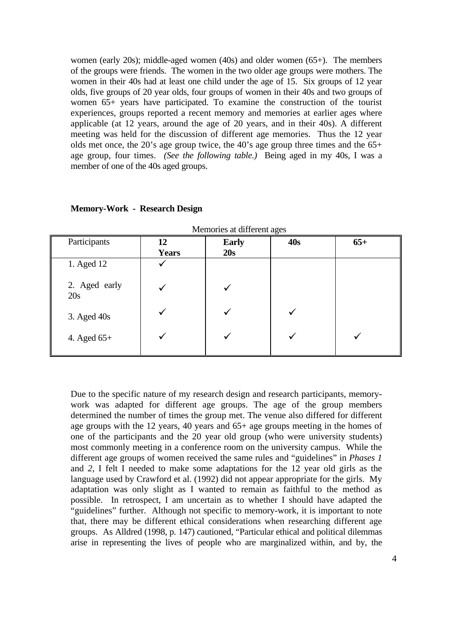women (early 20s); middle-aged women (40s) and older women (65+). The members of the groups were friends. The women in the two older age groups were mothers. The women in their 40s had at least one child under the age of 15. Six groups of 12 year olds, five groups of 20 year olds, four groups of women in their 40s and two groups of women 65+ years have participated. To examine the construction of the tourist experiences, groups reported a recent memory and memories at earlier ages where applicable (at 12 years, around the age of 20 years, and in their 40s). A different meeting was held for the discussion of different age memories. Thus the 12 year olds met once, the 20's age group twice, the 40's age group three times and the 65+ age group, four times. *(See the following table.)* Being aged in my 40s, I was a member of one of the 40s aged groups.

| memories at amerem ages |                    |                     |     |       |
|-------------------------|--------------------|---------------------|-----|-------|
| Participants            | 12<br><b>Years</b> | <b>Early</b><br>20s | 40s | $65+$ |
| 1. Aged 12              |                    |                     |     |       |
| 2. Aged early<br>20s    |                    |                     |     |       |
| $3.$ Aged $40s$         |                    |                     |     |       |
| 4. Aged 65+             |                    |                     |     |       |

**Memory-Work - Research Design** 

Due to the specific nature of my research design and research participants, memorywork was adapted for different age groups. The age of the group members determined the number of times the group met. The venue also differed for different age groups with the 12 years, 40 years and 65+ age groups meeting in the homes of one of the participants and the 20 year old group (who were university students) most commonly meeting in a conference room on the university campus. While the different age groups of women received the same rules and "guidelines" in *Phases 1* and *2*, I felt I needed to make some adaptations for the 12 year old girls as the language used by Crawford et al. (1992) did not appear appropriate for the girls. My adaptation was only slight as I wanted to remain as faithful to the method as possible. In retrospect, I am uncertain as to whether I should have adapted the "guidelines" further. Although not specific to memory-work, it is important to note that, there may be different ethical considerations when researching different age groups. As Alldred (1998, p. 147) cautioned, "Particular ethical and political dilemmas arise in representing the lives of people who are marginalized within, and by, the

Memories at different ages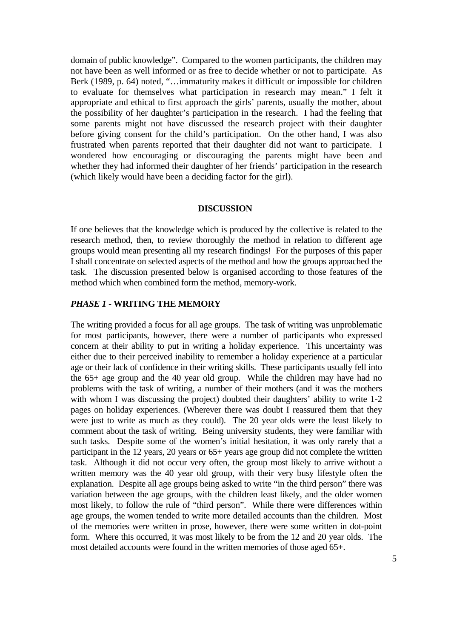domain of public knowledge". Compared to the women participants, the children may not have been as well informed or as free to decide whether or not to participate. As Berk (1989, p. 64) noted, "...immaturity makes it difficult or impossible for children to evaluate for themselves what participation in research may mean." I felt it appropriate and ethical to first approach the girls' parents, usually the mother, about the possibility of her daughter's participation in the research. I had the feeling that some parents might not have discussed the research project with their daughter before giving consent for the child's participation. On the other hand, I was also frustrated when parents reported that their daughter did not want to participate. I wondered how encouraging or discouraging the parents might have been and whether they had informed their daughter of her friends' participation in the research (which likely would have been a deciding factor for the girl).

#### **DISCUSSION**

If one believes that the knowledge which is produced by the collective is related to the research method, then, to review thoroughly the method in relation to different age groups would mean presenting all my research findings! For the purposes of this paper I shall concentrate on selected aspects of the method and how the groups approached the task. The discussion presented below is organised according to those features of the method which when combined form the method, memory-work.

# *PHASE 1* **- WRITING THE MEMORY**

The writing provided a focus for all age groups. The task of writing was unproblematic for most participants, however, there were a number of participants who expressed concern at their ability to put in writing a holiday experience. This uncertainty was either due to their perceived inability to remember a holiday experience at a particular age or their lack of confidence in their writing skills. These participants usually fell into the 65+ age group and the 40 year old group. While the children may have had no problems with the task of writing, a number of their mothers (and it was the mothers with whom I was discussing the project) doubted their daughters' ability to write 1-2 pages on holiday experiences. (Wherever there was doubt I reassured them that they were just to write as much as they could). The 20 year olds were the least likely to comment about the task of writing. Being university students, they were familiar with such tasks. Despite some of the women's initial hesitation, it was only rarely that a participant in the 12 years, 20 years or 65+ years age group did not complete the written task. Although it did not occur very often, the group most likely to arrive without a written memory was the 40 year old group, with their very busy lifestyle often the explanation. Despite all age groups being asked to write "in the third person" there was variation between the age groups, with the children least likely, and the older women most likely, to follow the rule of "third person". While there were differences within age groups, the women tended to write more detailed accounts than the children. Most of the memories were written in prose, however, there were some written in dot-point form. Where this occurred, it was most likely to be from the 12 and 20 year olds. The most detailed accounts were found in the written memories of those aged 65+.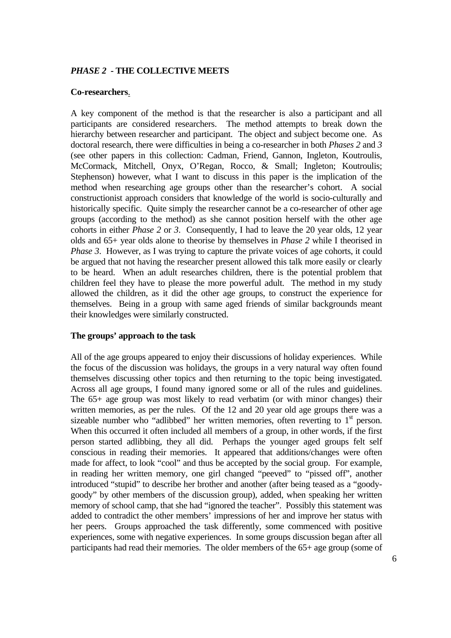# *PHASE 2* **- THE COLLECTIVE MEETS**

#### **Co-researchers**.

A key component of the method is that the researcher is also a participant and all participants are considered researchers. The method attempts to break down the hierarchy between researcher and participant. The object and subject become one. As doctoral research, there were difficulties in being a co-researcher in both *Phases 2* and *3* (see other papers in this collection: Cadman, Friend, Gannon, Ingleton, Koutroulis, McCormack, Mitchell, Onyx, O'Regan, Rocco, & Small; Ingleton; Koutroulis; Stephenson) however, what I want to discuss in this paper is the implication of the method when researching age groups other than the researcher's cohort. A social constructionist approach considers that knowledge of the world is socio-culturally and historically specific. Quite simply the researcher cannot be a co-researcher of other age groups (according to the method) as she cannot position herself with the other age cohorts in either *Phase 2* or *3*.Consequently, I had to leave the 20 year olds, 12 year olds and 65+ year olds alone to theorise by themselves in *Phase 2* while I theorised in *Phase 3.* However, as I was trying to capture the private voices of age cohorts, it could be argued that not having the researcher present allowed this talk more easily or clearly to be heard. When an adult researches children, there is the potential problem that children feel they have to please the more powerful adult. The method in my study allowed the children, as it did the other age groups, to construct the experience for themselves. Being in a group with same aged friends of similar backgrounds meant their knowledges were similarly constructed.

## **The groups' approach to the task**

All of the age groups appeared to enjoy their discussions of holiday experiences. While the focus of the discussion was holidays, the groups in a very natural way often found themselves discussing other topics and then returning to the topic being investigated. Across all age groups, I found many ignored some or all of the rules and guidelines. The 65+ age group was most likely to read verbatim (or with minor changes) their written memories, as per the rules. Of the 12 and 20 year old age groups there was a sizeable number who "adlibbed" her written memories, often reverting to  $1<sup>st</sup>$  person. When this occurred it often included all members of a group, in other words, if the first person started adlibbing, they all did. Perhaps the younger aged groups felt self conscious in reading their memories. It appeared that additions/changes were often made for affect, to look "cool" and thus be accepted by the social group. For example, in reading her written memory, one girl changed "peeved" to "pissed off", another introduced "stupid" to describe her brother and another (after being teased as a "goodygoody" by other members of the discussion group), added, when speaking her written memory of school camp, that she had "ignored the teacher". Possibly this statement was added to contradict the other members' impressions of her and improve her status with her peers. Groups approached the task differently, some commenced with positive experiences, some with negative experiences. In some groups discussion began after all participants had read their memories. The older members of the 65+ age group (some of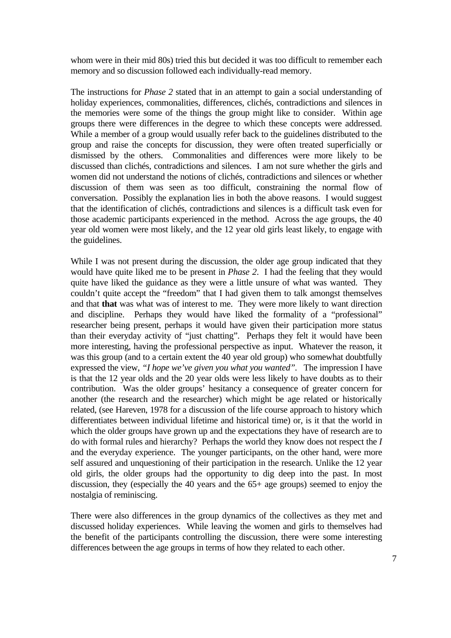whom were in their mid 80s) tried this but decided it was too difficult to remember each memory and so discussion followed each individually-read memory.

The instructions for *Phase 2* stated that in an attempt to gain a social understanding of holiday experiences, commonalities, differences, clichés, contradictions and silences in the memories were some of the things the group might like to consider. Within age groups there were differences in the degree to which these concepts were addressed. While a member of a group would usually refer back to the guidelines distributed to the group and raise the concepts for discussion, they were often treated superficially or dismissed by the others. Commonalities and differences were more likely to be discussed than clichés, contradictions and silences. I am not sure whether the girls and women did not understand the notions of clichés, contradictions and silences or whether discussion of them was seen as too difficult, constraining the normal flow of conversation. Possibly the explanation lies in both the above reasons. I would suggest that the identification of clichés, contradictions and silences is a difficult task even for those academic participants experienced in the method. Across the age groups, the 40 year old women were most likely, and the 12 year old girls least likely, to engage with the guidelines.

While I was not present during the discussion, the older age group indicated that they would have quite liked me to be present in *Phase 2*. I had the feeling that they would quite have liked the guidance as they were a little unsure of what was wanted. They couldn't quite accept the "freedom" that I had given them to talk amongst themselves and that **that** was what was of interest to me. They were more likely to want direction and discipline. Perhaps they would have liked the formality of a "professional" researcher being present, perhaps it would have given their participation more status than their everyday activity of "just chatting". Perhaps they felt it would have been more interesting, having the professional perspective as input. Whatever the reason, it was this group (and to a certain extent the 40 year old group) who somewhat doubtfully expressed the view, *"I hope we've given you what you wanted".* The impression I have is that the 12 year olds and the 20 year olds were less likely to have doubts as to their contribution. Was the older groups' hesitancy a consequence of greater concern for another (the research and the researcher) which might be age related or historically related, (see Hareven, 1978 for a discussion of the life course approach to history which differentiates between individual lifetime and historical time) or, is it that the world in which the older groups have grown up and the expectations they have of research are to do with formal rules and hierarchy? Perhaps the world they know does not respect the *I*  and the everyday experience. The younger participants, on the other hand, were more self assured and unquestioning of their participation in the research. Unlike the 12 year old girls, the older groups had the opportunity to dig deep into the past. In most discussion, they (especially the 40 years and the 65+ age groups) seemed to enjoy the nostalgia of reminiscing.

There were also differences in the group dynamics of the collectives as they met and discussed holiday experiences. While leaving the women and girls to themselves had the benefit of the participants controlling the discussion, there were some interesting differences between the age groups in terms of how they related to each other.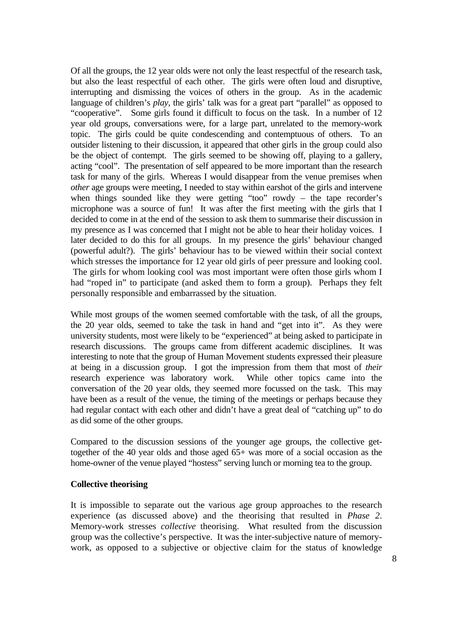Of all the groups, the 12 year olds were not only the least respectful of the research task, but also the least respectful of each other. The girls were often loud and disruptive, interrupting and dismissing the voices of others in the group. As in the academic language of children's *play*, the girls' talk was for a great part "parallel" as opposed to "cooperative". Some girls found it difficult to focus on the task. In a number of 12 year old groups, conversations were, for a large part, unrelated to the memory-work topic. The girls could be quite condescending and contemptuous of others. To an outsider listening to their discussion, it appeared that other girls in the group could also be the object of contempt. The girls seemed to be showing off, playing to a gallery, acting "cool". The presentation of self appeared to be more important than the research task for many of the girls. Whereas I would disappear from the venue premises when *other* age groups were meeting, I needed to stay within earshot of the girls and intervene when things sounded like they were getting "too" rowdy – the tape recorder's microphone was a source of fun! It was after the first meeting with the girls that I decided to come in at the end of the session to ask them to summarise their discussion in my presence as I was concerned that I might not be able to hear their holiday voices. I later decided to do this for all groups. In my presence the girls' behaviour changed (powerful adult?). The girls' behaviour has to be viewed within their social context which stresses the importance for 12 year old girls of peer pressure and looking cool. The girls for whom looking cool was most important were often those girls whom I had "roped in" to participate (and asked them to form a group). Perhaps they felt personally responsible and embarrassed by the situation.

While most groups of the women seemed comfortable with the task, of all the groups, the 20 year olds, seemed to take the task in hand and "get into it". As they were university students, most were likely to be "experienced" at being asked to participate in research discussions. The groups came from different academic disciplines. It was interesting to note that the group of Human Movement students expressed their pleasure at being in a discussion group. I got the impression from them that most of *their* research experience was laboratory work. While other topics came into the conversation of the 20 year olds, they seemed more focussed on the task. This may have been as a result of the venue, the timing of the meetings or perhaps because they had regular contact with each other and didn't have a great deal of "catching up" to do as did some of the other groups.

Compared to the discussion sessions of the younger age groups, the collective gettogether of the 40 year olds and those aged 65+ was more of a social occasion as the home-owner of the venue played "hostess" serving lunch or morning tea to the group.

## **Collective theorising**

It is impossible to separate out the various age group approaches to the research experience (as discussed above) and the theorising that resulted in *Phase 2*. Memory-work stresses *collective* theorising. What resulted from the discussion group was the collective's perspective. It was the inter-subjective nature of memorywork, as opposed to a subjective or objective claim for the status of knowledge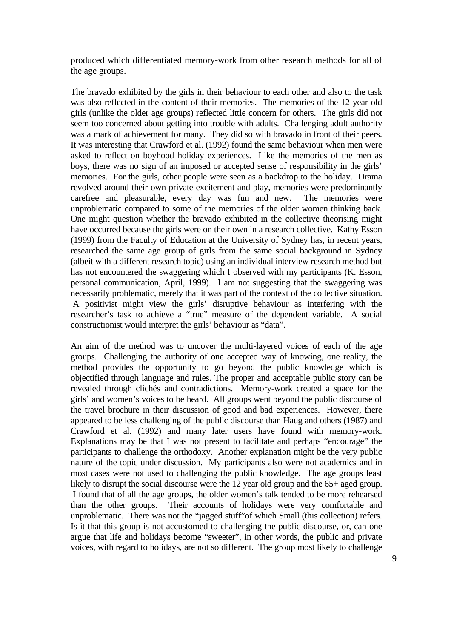produced which differentiated memory-work from other research methods for all of the age groups.

The bravado exhibited by the girls in their behaviour to each other and also to the task was also reflected in the content of their memories. The memories of the 12 year old girls (unlike the older age groups) reflected little concern for others. The girls did not seem too concerned about getting into trouble with adults. Challenging adult authority was a mark of achievement for many. They did so with bravado in front of their peers. It was interesting that Crawford et al. (1992) found the same behaviour when men were asked to reflect on boyhood holiday experiences. Like the memories of the men as boys, there was no sign of an imposed or accepted sense of responsibility in the girls' memories. For the girls, other people were seen as a backdrop to the holiday. Drama revolved around their own private excitement and play, memories were predominantly carefree and pleasurable, every day was fun and new. The memories were unproblematic compared to some of the memories of the older women thinking back. One might question whether the bravado exhibited in the collective theorising might have occurred because the girls were on their own in a research collective. Kathy Esson (1999) from the Faculty of Education at the University of Sydney has, in recent years, researched the same age group of girls from the same social background in Sydney (albeit with a different research topic) using an individual interview research method but has not encountered the swaggering which I observed with my participants (K. Esson, personal communication, April, 1999). I am not suggesting that the swaggering was necessarily problematic, merely that it was part of the context of the collective situation. A positivist might view the girls' disruptive behaviour as interfering with the researcher's task to achieve a "true" measure of the dependent variable. A social constructionist would interpret the girls' behaviour as "data".

An aim of the method was to uncover the multi-layered voices of each of the age groups. Challenging the authority of one accepted way of knowing, one reality, the method provides the opportunity to go beyond the public knowledge which is objectified through language and rules. The proper and acceptable public story can be revealed through clichés and contradictions. Memory-work created a space for the girls' and women's voices to be heard. All groups went beyond the public discourse of the travel brochure in their discussion of good and bad experiences. However, there appeared to be less challenging of the public discourse than Haug and others (1987) and Crawford et al. (1992) and many later users have found with memory-work. Explanations may be that I was not present to facilitate and perhaps "encourage" the participants to challenge the orthodoxy. Another explanation might be the very public nature of the topic under discussion. My participants also were not academics and in most cases were not used to challenging the public knowledge. The age groups least likely to disrupt the social discourse were the 12 year old group and the 65+ aged group. I found that of all the age groups, the older women's talk tended to be more rehearsed than the other groups. Their accounts of holidays were very comfortable and unproblematic. There was not the "jagged stuff"of which Small (this collection) refers. Is it that this group is not accustomed to challenging the public discourse, or, can one argue that life and holidays become "sweeter", in other words, the public and private voices, with regard to holidays, are not so different. The group most likely to challenge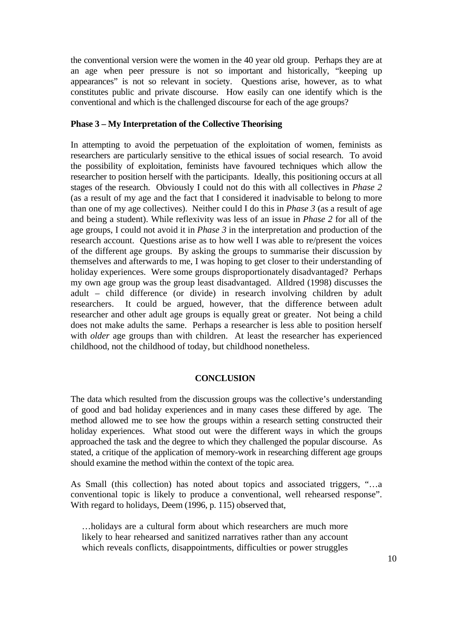the conventional version were the women in the 40 year old group. Perhaps they are at an age when peer pressure is not so important and historically, "keeping up appearances" is not so relevant in society. Questions arise, however, as to what constitutes public and private discourse. How easily can one identify which is the conventional and which is the challenged discourse for each of the age groups?

# **Phase 3 – My Interpretation of the Collective Theorising**

In attempting to avoid the perpetuation of the exploitation of women, feminists as researchers are particularly sensitive to the ethical issues of social research. To avoid the possibility of exploitation, feminists have favoured techniques which allow the researcher to position herself with the participants. Ideally, this positioning occurs at all stages of the research. Obviously I could not do this with all collectives in *Phase 2* (as a result of my age and the fact that I considered it inadvisable to belong to more than one of my age collectives). Neither could I do this in *Phase 3* (as a result of age and being a student). While reflexivity was less of an issue in *Phase 2* for all of the age groups, I could not avoid it in *Phase 3* in the interpretation and production of the research account. Questions arise as to how well I was able to re/present the voices of the different age groups. By asking the groups to summarise their discussion by themselves and afterwards to me, I was hoping to get closer to their understanding of holiday experiences. Were some groups disproportionately disadvantaged? Perhaps my own age group was the group least disadvantaged. Alldred (1998) discusses the adult – child difference (or divide) in research involving children by adult researchers. It could be argued, however, that the difference between adult researcher and other adult age groups is equally great or greater. Not being a child does not make adults the same. Perhaps a researcher is less able to position herself with *older* age groups than with children. At least the researcher has experienced childhood, not the childhood of today, but childhood nonetheless.

# **CONCLUSION**

The data which resulted from the discussion groups was the collective's understanding of good and bad holiday experiences and in many cases these differed by age. The method allowed me to see how the groups within a research setting constructed their holiday experiences. What stood out were the different ways in which the groups approached the task and the degree to which they challenged the popular discourse. As stated, a critique of the application of memory-work in researching different age groups should examine the method within the context of the topic area.

As Small (this collection) has noted about topics and associated triggers, "…a conventional topic is likely to produce a conventional, well rehearsed response". With regard to holidays, Deem (1996, p. 115) observed that,

…holidays are a cultural form about which researchers are much more likely to hear rehearsed and sanitized narratives rather than any account which reveals conflicts, disappointments, difficulties or power struggles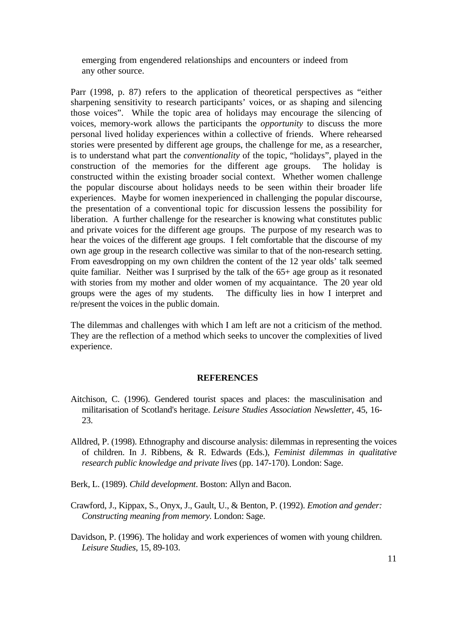emerging from engendered relationships and encounters or indeed from any other source.

Parr (1998, p. 87) refers to the application of theoretical perspectives as "either sharpening sensitivity to research participants' voices, or as shaping and silencing those voices". While the topic area of holidays may encourage the silencing of voices, memory-work allows the participants the *opportunity* to discuss the more personal lived holiday experiences within a collective of friends. Where rehearsed stories were presented by different age groups, the challenge for me, as a researcher, is to understand what part the *conventionality* of the topic, "holidays", played in the construction of the memories for the different age groups. The holiday is constructed within the existing broader social context. Whether women challenge the popular discourse about holidays needs to be seen within their broader life experiences. Maybe for women inexperienced in challenging the popular discourse, the presentation of a conventional topic for discussion lessens the possibility for liberation. A further challenge for the researcher is knowing what constitutes public and private voices for the different age groups. The purpose of my research was to hear the voices of the different age groups.I felt comfortable that the discourse of my own age group in the research collective was similar to that of the non-research setting. From eavesdropping on my own children the content of the 12 year olds' talk seemed quite familiar. Neither was I surprised by the talk of the 65+ age group as it resonated with stories from my mother and older women of my acquaintance. The 20 year old groups were the ages of my students. The difficulty lies in how I interpret and re/present the voices in the public domain.

The dilemmas and challenges with which I am left are not a criticism of the method. They are the reflection of a method which seeks to uncover the complexities of lived experience.

## **REFERENCES**

- Aitchison, C. (1996). Gendered tourist spaces and places: the masculinisation and militarisation of Scotland's heritage. *Leisure Studies Association Newsletter*, 45, 16- 23.
- Alldred, P. (1998). Ethnography and discourse analysis: dilemmas in representing the voices of children. In J. Ribbens, & R. Edwards (Eds.), *Feminist dilemmas in qualitative research public knowledge and private lives* (pp. 147-170). London: Sage.
- Berk, L. (1989). *Child development*. Boston: Allyn and Bacon.
- Crawford, J., Kippax, S., Onyx, J., Gault, U., & Benton, P. (1992). *Emotion and gender: Constructing meaning from memory.* London: Sage.
- Davidson, P. (1996). The holiday and work experiences of women with young children. *Leisure Studies*, 15, 89-103.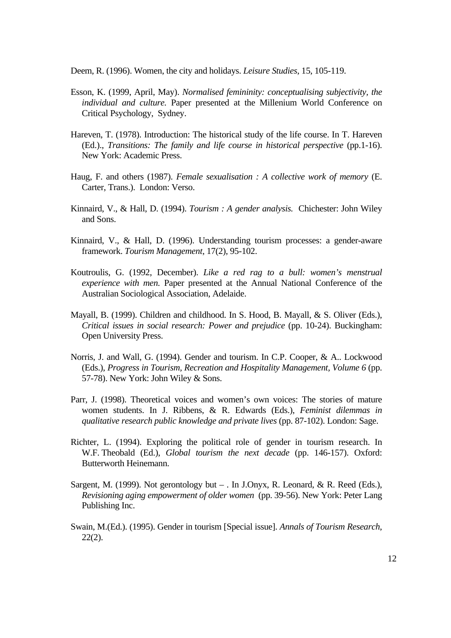Deem, R. (1996). Women, the city and holidays. *Leisure Studies*, 15, 105-119.

- Esson, K. (1999, April, May). *Normalised femininity: conceptualising subjectivity, the individual and culture.* Paper presented at the Millenium World Conference on Critical Psychology, Sydney.
- Hareven, T. (1978). Introduction: The historical study of the life course. In T. Hareven (Ed.)., *Transitions: The family and life course in historical perspective* (pp.1-16). New York: Academic Press.
- Haug, F. and others (1987). *Female sexualisation : A collective work of memory* (E. Carter, Trans.). London: Verso.
- Kinnaird, V., & Hall, D. (1994). *Tourism : A gender analysis.* Chichester: John Wiley and Sons.
- Kinnaird, V., & Hall, D. (1996). Understanding tourism processes: a gender-aware framework. *Tourism Management*, 17(2), 95-102.
- Koutroulis, G. (1992, December). *Like a red rag to a bull: women's menstrual experience with men.* Paper presented at the Annual National Conference of the Australian Sociological Association, Adelaide.
- Mayall, B. (1999). Children and childhood. In S. Hood, B. Mayall, & S. Oliver (Eds.), *Critical issues in social research: Power and prejudice* (pp. 10-24). Buckingham: Open University Press.
- Norris, J. and Wall, G. (1994). Gender and tourism. In C.P. Cooper, & A.. Lockwood (Eds.), *Progress in Tourism, Recreation and Hospitality Management, Volume 6* (pp. 57-78). New York: John Wiley & Sons.
- Parr, J. (1998). Theoretical voices and women's own voices: The stories of mature women students. In J. Ribbens, & R. Edwards (Eds.), *Feminist dilemmas in qualitative research public knowledge and private lives* (pp. 87-102). London: Sage.
- Richter, L. (1994). Exploring the political role of gender in tourism research. In W.F. Theobald (Ed.), *Global tourism the next decade* (pp. 146-157). Oxford: Butterworth Heinemann.
- Sargent, M. (1999). Not gerontology but . In J.Onyx, R. Leonard, & R. Reed (Eds.), *Revisioning aging empowerment of older women* (pp. 39-56). New York: Peter Lang Publishing Inc.
- Swain, M.(Ed.). (1995). Gender in tourism [Special issue]. *Annals of Tourism Research*, 22(2).